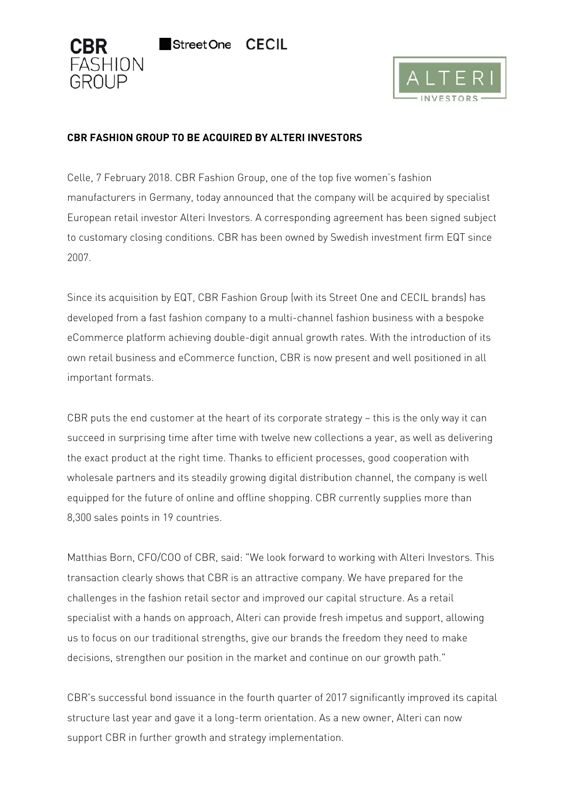

# **CBR FASHION GROUP TO BE ACQUIRED BY ALTERI INVESTORS**

Street One

Celle, 7 February 2018. CBR Fashion Group, one of the top five women's fashion manufacturers in Germany, today announced that the company will be acquired by specialist European retail investor Alteri Investors. A corresponding agreement has been signed subject to customary closing conditions. CBR has been owned by Swedish investment firm EQT since 2007.

**CECIL** 

Since its acquisition by EQT, CBR Fashion Group (with its Street One and CECIL brands) has developed from a fast fashion company to a multi-channel fashion business with a bespoke eCommerce platform achieving double-digit annual growth rates. With the introduction of its own retail business and eCommerce function, CBR is now present and well positioned in all important formats.

CBR puts the end customer at the heart of its corporate strategy – this is the only way it can succeed in surprising time after time with twelve new collections a year, as well as delivering the exact product at the right time. Thanks to efficient processes, good cooperation with wholesale partners and its steadily growing digital distribution channel, the company is well equipped for the future of online and offline shopping. CBR currently supplies more than 8,300 sales points in 19 countries.

Matthias Born, CFO/COO of CBR, said: "We look forward to working with Alteri Investors. This transaction clearly shows that CBR is an attractive company. We have prepared for the challenges in the fashion retail sector and improved our capital structure. As a retail specialist with a hands on approach, Alteri can provide fresh impetus and support, allowing us to focus on our traditional strengths, give our brands the freedom they need to make decisions, strengthen our position in the market and continue on our growth path."

CBR's successful bond issuance in the fourth quarter of 2017 significantly improved its capital structure last year and gave it a long-term orientation. As a new owner, Alteri can now support CBR in further growth and strategy implementation.